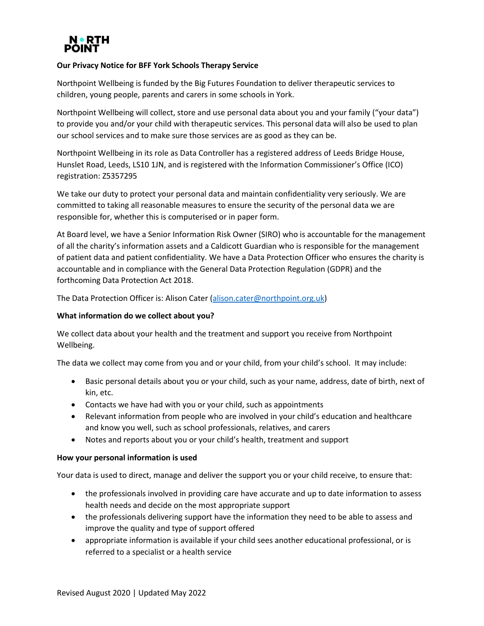

# **Our Privacy Notice for BFF York Schools Therapy Service**

Northpoint Wellbeing is funded by the Big Futures Foundation to deliver therapeutic services to children, young people, parents and carers in some schools in York.

Northpoint Wellbeing will collect, store and use personal data about you and your family ("your data") to provide you and/or your child with therapeutic services. This personal data will also be used to plan our school services and to make sure those services are as good as they can be.

Northpoint Wellbeing in its role as Data Controller has a registered address of Leeds Bridge House, Hunslet Road, Leeds, LS10 1JN, and is registered with the Information Commissioner's Office (ICO) registration: Z5357295

We take our duty to protect your personal data and maintain confidentiality very seriously. We are committed to taking all reasonable measures to ensure the security of the personal data we are responsible for, whether this is computerised or in paper form.

At Board level, we have a Senior Information Risk Owner (SIRO) who is accountable for the management of all the charity's information assets and a Caldicott Guardian who is responsible for the management of patient data and patient confidentiality. We have a Data Protection Officer who ensures the charity is accountable and in compliance with the General Data Protection Regulation (GDPR) and the forthcoming Data Protection Act 2018.

The Data Protection Officer is: Alison Cater [\(alison.cater@northpoint.org.uk\)](mailto:alison.cater@northpoint.org.uk)

## **What information do we collect about you?**

We collect data about your health and the treatment and support you receive from Northpoint Wellbeing.

The data we collect may come from you and or your child, from your child's school. It may include:

- Basic personal details about you or your child, such as your name, address, date of birth, next of kin, etc.
- Contacts we have had with you or your child, such as appointments
- Relevant information from people who are involved in your child's education and healthcare and know you well, such as school professionals, relatives, and carers
- Notes and reports about you or your child's health, treatment and support

## **How your personal information is used**

Your data is used to direct, manage and deliver the support you or your child receive, to ensure that:

- the professionals involved in providing care have accurate and up to date information to assess health needs and decide on the most appropriate support
- the professionals delivering support have the information they need to be able to assess and improve the quality and type of support offered
- appropriate information is available if your child sees another educational professional, or is referred to a specialist or a health service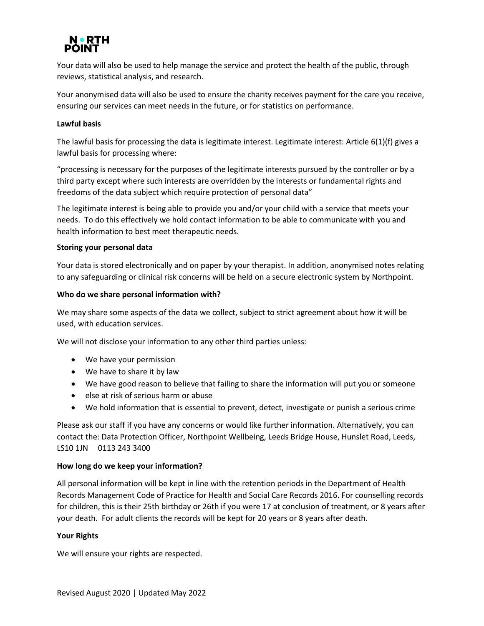

Your data will also be used to help manage the service and protect the health of the public, through reviews, statistical analysis, and research.

Your anonymised data will also be used to ensure the charity receives payment for the care you receive, ensuring our services can meet needs in the future, or for statistics on performance.

# **Lawful basis**

The lawful basis for processing the data is legitimate interest. Legitimate interest: Article 6(1)(f) gives a lawful basis for processing where:

"processing is necessary for the purposes of the legitimate interests pursued by the controller or by a third party except where such interests are overridden by the interests or fundamental rights and freedoms of the data subject which require protection of personal data"

The legitimate interest is being able to provide you and/or your child with a service that meets your needs. To do this effectively we hold contact information to be able to communicate with you and health information to best meet therapeutic needs.

## **Storing your personal data**

Your data is stored electronically and on paper by your therapist. In addition, anonymised notes relating to any safeguarding or clinical risk concerns will be held on a secure electronic system by Northpoint.

## **Who do we share personal information with?**

We may share some aspects of the data we collect, subject to strict agreement about how it will be used, with education services.

We will not disclose your information to any other third parties unless:

- We have your permission
- We have to share it by law
- We have good reason to believe that failing to share the information will put you or someone
- else at risk of serious harm or abuse
- We hold information that is essential to prevent, detect, investigate or punish a serious crime

Please ask our staff if you have any concerns or would like further information. Alternatively, you can contact the: Data Protection Officer, Northpoint Wellbeing, Leeds Bridge House, Hunslet Road, Leeds, LS10 1JN 0113 243 3400

## **How long do we keep your information?**

All personal information will be kept in line with the retention periods in the Department of Health Records Management Code of Practice for Health and Social Care Records 2016. For counselling records for children, this is their 25th birthday or 26th if you were 17 at conclusion of treatment, or 8 years after your death. For adult clients the records will be kept for 20 years or 8 years after death.

## **Your Rights**

We will ensure your rights are respected.